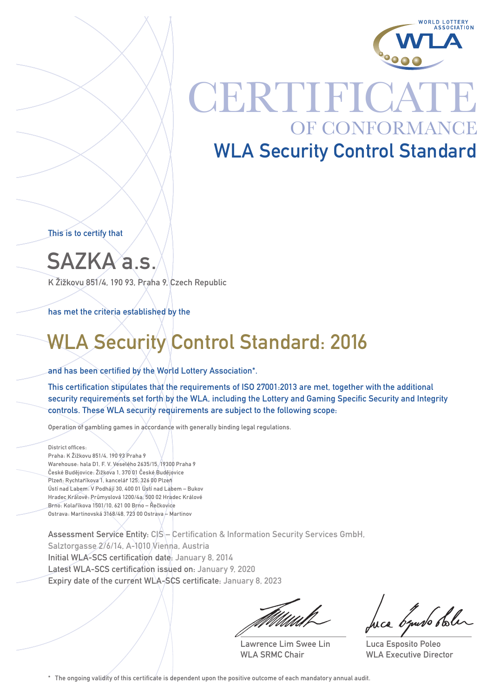

## **CERTIFICA** OF CONFORMANCE WLA Security Control Standard

This is to certify that

SAZKA a.s.

K Žižkovu 851/4, 190 93, Praha 9, Czech Republic

has met the criteria established by the

### WLA Security Control Standard: 2016

### and has been certified by the World Lottery Association\*.

This certification stipulates that the requirements of ISO 27001:2013 are met, together with the additional security requirements set forth by the WLA, including the Lottery and Gaming Specific Security and Integrity controls. These WLA security requirements are subject to the following scope:

Operation of gambling games in accordance with generally binding legal regulations.

#### District offices:

Praha: K Žižkovu 851/4, 190 93 Praha 9 Warehouse: hala D1, F. V. Veselého 2635/15, 19300 Praha 9 České Budějovice: Žižkova 1, 370 01 České Budějovice Plzeň: Rychtaříkova 1, kancelář 125, 326 00 Plzeň Ústí nad Labem: V Podhájí 30, 400 01 Ústí nad Labem – Bukov Hradec Králové: Průmyslová 1200/4a, 500 02 Hradec Králové Brno: Kolaříkova 1501/10, 621 00 Brno – Řečkovice Ostrava: Martinovská 3168/48, 723 00 Ostrava – Martinov

Assessment Service Entity: CIS – Certification & Information Security Services GmbH, Salztorgasse 2/6/14, A-1010 Vienna, Austria Initial WLA-SCS certification date: January 8, 2014 Latest WLA-SCS certification issued on: January 9, 2020 Expiry date of the current WLA-SCS certificate: January 8, 2023

Lawrence Lim Swee Lin WLA SRMC Chair

muso obler

Luca Esposito Poleo WLA Executive Director

\* The ongoing validity of this certificate is dependent upon the positive outcome of each mandatory annual audit.